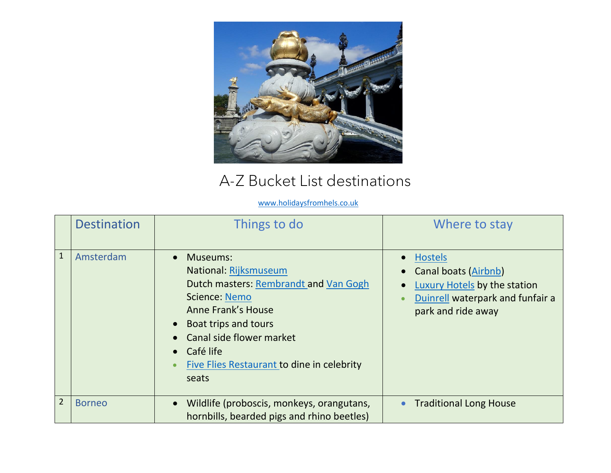

## A-Z Bucket List destinations

## [www.holidaysfromhels.co.uk](http://www.holidaysfromhels.co.uk/)

|                | <b>Destination</b> | Things to do                                                                                                                                                                                                                                       | Where to stay                                                                                                                                                           |
|----------------|--------------------|----------------------------------------------------------------------------------------------------------------------------------------------------------------------------------------------------------------------------------------------------|-------------------------------------------------------------------------------------------------------------------------------------------------------------------------|
| $\mathbf{1}$   | Amsterdam          | Museums:<br>National: Rijksmuseum<br>Dutch masters: Rembrandt and Van Gogh<br><b>Science: Nemo</b><br>Anne Frank's House<br>• Boat trips and tours<br>Canal side flower market<br>Café life<br>Five Flies Restaurant to dine in celebrity<br>seats | Hostels<br>$\bullet$<br><b>Canal boats (Airbnb)</b><br>$\bullet$<br>Luxury Hotels by the station<br>$\bullet$<br>Duinrell waterpark and funfair a<br>park and ride away |
| $\overline{2}$ | <b>Borneo</b>      | Wildlife (proboscis, monkeys, orangutans,<br>$\bullet$<br>hornbills, bearded pigs and rhino beetles)                                                                                                                                               | <b>Traditional Long House</b><br>$\bullet$                                                                                                                              |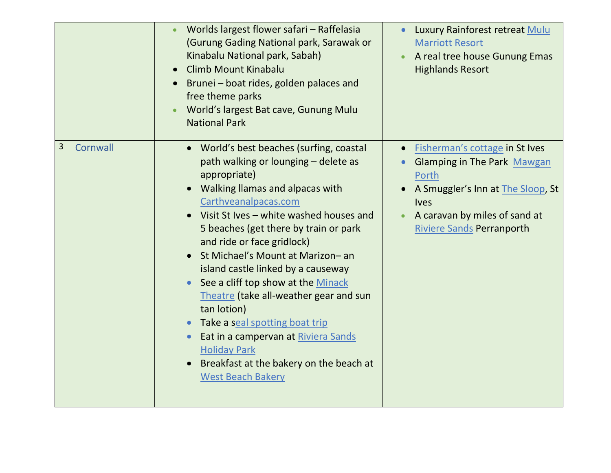|   |          | Worlds largest flower safari - Raffelasia<br>(Gurung Gading National park, Sarawak or<br>Kinabalu National park, Sabah)<br><b>Climb Mount Kinabalu</b><br>Brunei - boat rides, golden palaces and<br>free theme parks<br>World's largest Bat cave, Gunung Mulu<br><b>National Park</b>                                                                                                                                                                                                                                                                                                                                                        | Luxury Rainforest retreat Mulu<br><b>Marriott Resort</b><br>A real tree house Gunung Emas<br><b>Highlands Resort</b>                                                                                                |
|---|----------|-----------------------------------------------------------------------------------------------------------------------------------------------------------------------------------------------------------------------------------------------------------------------------------------------------------------------------------------------------------------------------------------------------------------------------------------------------------------------------------------------------------------------------------------------------------------------------------------------------------------------------------------------|---------------------------------------------------------------------------------------------------------------------------------------------------------------------------------------------------------------------|
| 3 | Cornwall | • World's best beaches (surfing, coastal<br>path walking or lounging - delete as<br>appropriate)<br>• Walking Ilamas and alpacas with<br>Carthveanalpacas.com<br>Visit St Ives - white washed houses and<br>5 beaches (get there by train or park<br>and ride or face gridlock)<br>St Michael's Mount at Marizon- an<br>island castle linked by a causeway<br>See a cliff top show at the Minack<br>Theatre (take all-weather gear and sun<br>tan lotion)<br>Take a seal spotting boat trip<br>$\bullet$<br>Eat in a campervan at Riviera Sands<br><b>Holiday Park</b><br>Breakfast at the bakery on the beach at<br><b>West Beach Bakery</b> | Fisherman's cottage in St Ives<br>$\bullet$<br><b>Glamping in The Park Mawgan</b><br>Porth<br>A Smuggler's Inn at The Sloop, St<br><b>Ives</b><br>A caravan by miles of sand at<br><b>Riviere Sands Perranporth</b> |